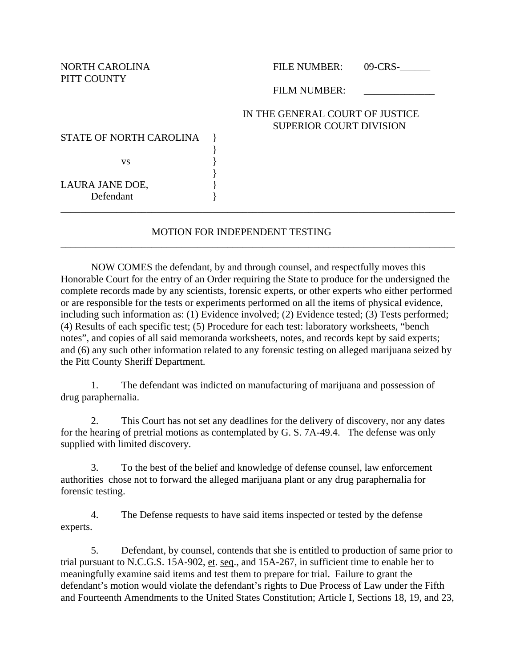PITT COUNTY

NORTH CAROLINA FILE NUMBER: 09-CRS-

FILM NUMBER:

## IN THE GENERAL COURT OF JUSTICE SUPERIOR COURT DIVISION

STATE OF NORTH CAROLINA }

 $\mathbf{v}\mathbf{s}$  }

LAURA JANE DOE, Defendant }

## MOTION FOR INDEPENDENT TESTING

\_\_\_\_\_\_\_\_\_\_\_\_\_\_\_\_\_\_\_\_\_\_\_\_\_\_\_\_\_\_\_\_\_\_\_\_\_\_\_\_\_\_\_\_\_\_\_\_\_\_\_\_\_\_\_\_\_\_\_\_\_\_\_\_\_\_\_\_\_\_\_\_\_\_\_\_\_\_

\_\_\_\_\_\_\_\_\_\_\_\_\_\_\_\_\_\_\_\_\_\_\_\_\_\_\_\_\_\_\_\_\_\_\_\_\_\_\_\_\_\_\_\_\_\_\_\_\_\_\_\_\_\_\_\_\_\_\_\_\_\_\_\_\_\_\_\_\_\_\_\_\_\_\_\_\_\_

}

}

NOW COMES the defendant, by and through counsel, and respectfully moves this Honorable Court for the entry of an Order requiring the State to produce for the undersigned the complete records made by any scientists, forensic experts, or other experts who either performed or are responsible for the tests or experiments performed on all the items of physical evidence, including such information as: (1) Evidence involved; (2) Evidence tested; (3) Tests performed; (4) Results of each specific test; (5) Procedure for each test: laboratory worksheets, "bench notes", and copies of all said memoranda worksheets, notes, and records kept by said experts; and (6) any such other information related to any forensic testing on alleged marijuana seized by the Pitt County Sheriff Department.

1. The defendant was indicted on manufacturing of marijuana and possession of drug paraphernalia.

2. This Court has not set any deadlines for the delivery of discovery, nor any dates for the hearing of pretrial motions as contemplated by G. S. 7A-49.4. The defense was only supplied with limited discovery.

3. To the best of the belief and knowledge of defense counsel, law enforcement authorities chose not to forward the alleged marijuana plant or any drug paraphernalia for forensic testing.

4. The Defense requests to have said items inspected or tested by the defense experts.

5. Defendant, by counsel, contends that she is entitled to production of same prior to trial pursuant to N.C.G.S. 15A-902, et. seq., and 15A-267, in sufficient time to enable her to meaningfully examine said items and test them to prepare for trial. Failure to grant the defendant's motion would violate the defendant's rights to Due Process of Law under the Fifth and Fourteenth Amendments to the United States Constitution; Article I, Sections 18, 19, and 23,